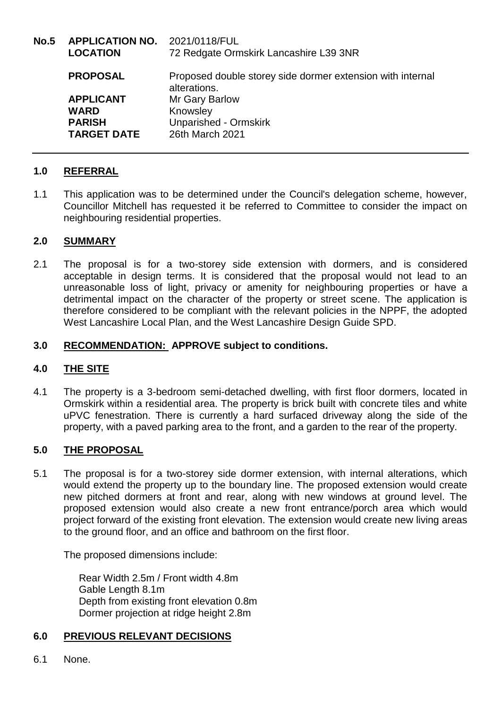| No.5 | <b>APPLICATION NO.</b><br><b>LOCATION</b> | 2021/0118/FUL<br>72 Redgate Ormskirk Lancashire L39 3NR                    |
|------|-------------------------------------------|----------------------------------------------------------------------------|
|      | <b>PROPOSAL</b>                           | Proposed double storey side dormer extension with internal<br>alterations. |
|      | <b>APPLICANT</b>                          | Mr Gary Barlow                                                             |
|      | <b>WARD</b>                               | Knowsley                                                                   |
|      | <b>PARISH</b><br><b>TARGET DATE</b>       | <b>Unparished - Ormskirk</b><br>26th March 2021                            |

# **1.0 REFERRAL**

1.1 This application was to be determined under the Council's delegation scheme, however, Councillor Mitchell has requested it be referred to Committee to consider the impact on neighbouring residential properties.

## **2.0 SUMMARY**

2.1 The proposal is for a two-storey side extension with dormers, and is considered acceptable in design terms. It is considered that the proposal would not lead to an unreasonable loss of light, privacy or amenity for neighbouring properties or have a detrimental impact on the character of the property or street scene. The application is therefore considered to be compliant with the relevant policies in the NPPF, the adopted West Lancashire Local Plan, and the West Lancashire Design Guide SPD.

## **3.0 RECOMMENDATION: APPROVE subject to conditions.**

### **4.0 THE SITE**

4.1 The property is a 3-bedroom semi-detached dwelling, with first floor dormers, located in Ormskirk within a residential area. The property is brick built with concrete tiles and white uPVC fenestration. There is currently a hard surfaced driveway along the side of the property, with a paved parking area to the front, and a garden to the rear of the property.

# **5.0 THE PROPOSAL**

5.1 The proposal is for a two-storey side dormer extension, with internal alterations, which would extend the property up to the boundary line. The proposed extension would create new pitched dormers at front and rear, along with new windows at ground level. The proposed extension would also create a new front entrance/porch area which would project forward of the existing front elevation. The extension would create new living areas to the ground floor, and an office and bathroom on the first floor.

The proposed dimensions include:

Rear Width 2.5m / Front width 4.8m Gable Length 8.1m Depth from existing front elevation 0.8m Dormer projection at ridge height 2.8m

### **6.0 PREVIOUS RELEVANT DECISIONS**

6.1 None.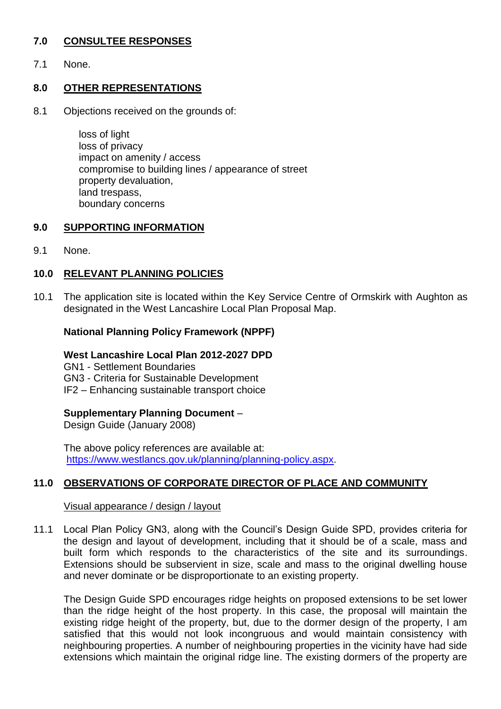# **7.0 CONSULTEE RESPONSES**

7.1 None.

### **8.0 OTHER REPRESENTATIONS**

8.1 Objections received on the grounds of:

loss of light loss of privacy impact on amenity / access compromise to building lines / appearance of street property devaluation, land trespass, boundary concerns

### **9.0 SUPPORTING INFORMATION**

9.1 None.

## **10.0 RELEVANT PLANNING POLICIES**

10.1 The application site is located within the Key Service Centre of Ormskirk with Aughton as designated in the West Lancashire Local Plan Proposal Map.

### **National Planning Policy Framework (NPPF)**

#### **West Lancashire Local Plan 2012-2027 DPD**

GN1 - Settlement Boundaries

GN3 - Criteria for Sustainable Development

IF2 – Enhancing sustainable transport choice

### **Supplementary Planning Document** –

Design Guide (January 2008)

The above policy references are available at: [https://www.westlancs.gov.uk/planning/planning-policy.aspx.](https://www.westlancs.gov.uk/planning/planning-policy.aspx)

# **11.0 OBSERVATIONS OF CORPORATE DIRECTOR OF PLACE AND COMMUNITY**

#### Visual appearance / design / layout

11.1 Local Plan Policy GN3, along with the Council's Design Guide SPD, provides criteria for the design and layout of development, including that it should be of a scale, mass and built form which responds to the characteristics of the site and its surroundings. Extensions should be subservient in size, scale and mass to the original dwelling house and never dominate or be disproportionate to an existing property.

The Design Guide SPD encourages ridge heights on proposed extensions to be set lower than the ridge height of the host property. In this case, the proposal will maintain the existing ridge height of the property, but, due to the dormer design of the property, I am satisfied that this would not look incongruous and would maintain consistency with neighbouring properties. A number of neighbouring properties in the vicinity have had side extensions which maintain the original ridge line. The existing dormers of the property are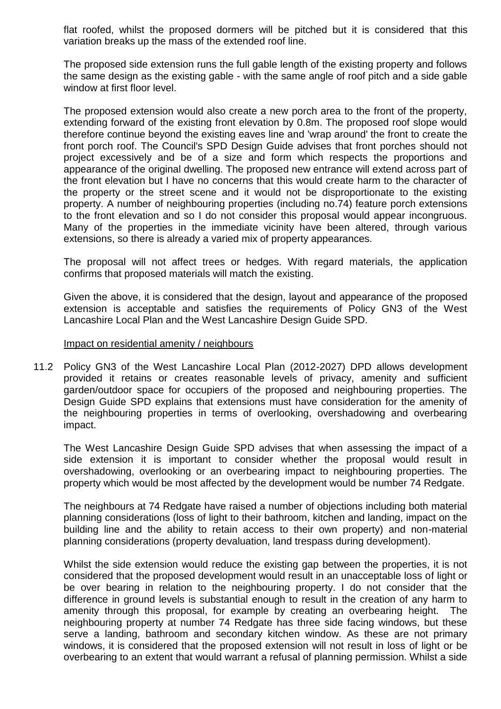flat roofed, whilst the proposed dormers will be pitched but it is considered that this variation breaks up the mass of the extended roof line.

The proposed side extension runs the full gable length of the existing property and follows the same design as the existing gable - with the same angle of roof pitch and a side gable window at first floor level.

The proposed extension would also create a new porch area to the front of the property, extending forward of the existing front elevation by 0.8m. The proposed roof slope would therefore continue beyond the existing eaves line and 'wrap around' the front to create the front porch roof. The Council's SPD Design Guide advises that front porches should not project excessively and be of a size and form which respects the proportions and appearance of the original dwelling. The proposed new entrance will extend across part of the front elevation but I have no concerns that this would create harm to the character of the property or the street scene and it would not be disproportionate to the existing property. A number of neighbouring properties (including no.74) feature porch extensions to the front elevation and so I do not consider this proposal would appear incongruous. Many of the properties in the immediate vicinity have been altered, through various extensions, so there is already a varied mix of property appearances.

The proposal will not affect trees or hedges. With regard materials, the application confirms that proposed materials will match the existing.

Given the above, it is considered that the design, layout and appearance of the proposed extension is acceptable and satisfies the requirements of Policy GN3 of the West Lancashire Local Plan and the West Lancashire Design Guide SPD.

#### Impact on residential amenity / neighbours

11.2 Policy GN3 of the West Lancashire Local Plan (2012-2027) DPD allows development provided it retains or creates reasonable levels of privacy, amenity and sufficient garden/outdoor space for occupiers of the proposed and neighbouring properties. The Design Guide SPD explains that extensions must have consideration for the amenity of the neighbouring properties in terms of overlooking, overshadowing and overbearing impact.

The West Lancashire Design Guide SPD advises that when assessing the impact of a side extension it is important to consider whether the proposal would result in overshadowing, overlooking or an overbearing impact to neighbouring properties. The property which would be most affected by the development would be number 74 Redgate.

The neighbours at 74 Redgate have raised a number of objections including both material planning considerations (loss of light to their bathroom, kitchen and landing, impact on the building line and the ability to retain access to their own property) and non-material planning considerations (property devaluation, land trespass during development).

Whilst the side extension would reduce the existing gap between the properties, it is not considered that the proposed development would result in an unacceptable loss of light or be over bearing in relation to the neighbouring property. I do not consider that the difference in ground levels is substantial enough to result in the creation of any harm to amenity through this proposal, for example by creating an overbearing height. The neighbouring property at number 74 Redgate has three side facing windows, but these serve a landing, bathroom and secondary kitchen window. As these are not primary windows, it is considered that the proposed extension will not result in loss of light or be overbearing to an extent that would warrant a refusal of planning permission. Whilst a side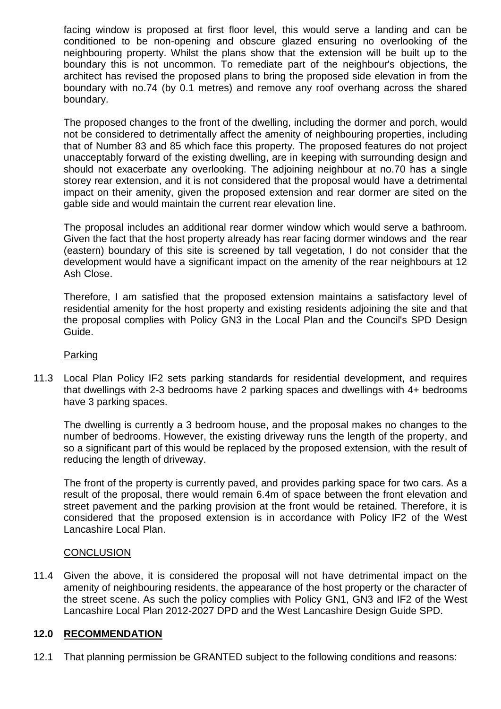facing window is proposed at first floor level, this would serve a landing and can be conditioned to be non-opening and obscure glazed ensuring no overlooking of the neighbouring property. Whilst the plans show that the extension will be built up to the boundary this is not uncommon. To remediate part of the neighbour's objections, the architect has revised the proposed plans to bring the proposed side elevation in from the boundary with no.74 (by 0.1 metres) and remove any roof overhang across the shared boundary.

The proposed changes to the front of the dwelling, including the dormer and porch, would not be considered to detrimentally affect the amenity of neighbouring properties, including that of Number 83 and 85 which face this property. The proposed features do not project unacceptably forward of the existing dwelling, are in keeping with surrounding design and should not exacerbate any overlooking. The adjoining neighbour at no.70 has a single storey rear extension, and it is not considered that the proposal would have a detrimental impact on their amenity, given the proposed extension and rear dormer are sited on the gable side and would maintain the current rear elevation line.

The proposal includes an additional rear dormer window which would serve a bathroom. Given the fact that the host property already has rear facing dormer windows and the rear (eastern) boundary of this site is screened by tall vegetation, I do not consider that the development would have a significant impact on the amenity of the rear neighbours at 12 Ash Close.

Therefore, I am satisfied that the proposed extension maintains a satisfactory level of residential amenity for the host property and existing residents adjoining the site and that the proposal complies with Policy GN3 in the Local Plan and the Council's SPD Design Guide.

#### Parking

11.3 Local Plan Policy IF2 sets parking standards for residential development, and requires that dwellings with 2-3 bedrooms have 2 parking spaces and dwellings with 4+ bedrooms have 3 parking spaces.

The dwelling is currently a 3 bedroom house, and the proposal makes no changes to the number of bedrooms. However, the existing driveway runs the length of the property, and so a significant part of this would be replaced by the proposed extension, with the result of reducing the length of driveway.

The front of the property is currently paved, and provides parking space for two cars. As a result of the proposal, there would remain 6.4m of space between the front elevation and street pavement and the parking provision at the front would be retained. Therefore, it is considered that the proposed extension is in accordance with Policy IF2 of the West Lancashire Local Plan.

#### **CONCLUSION**

11.4 Given the above, it is considered the proposal will not have detrimental impact on the amenity of neighbouring residents, the appearance of the host property or the character of the street scene. As such the policy complies with Policy GN1, GN3 and IF2 of the West Lancashire Local Plan 2012-2027 DPD and the West Lancashire Design Guide SPD.

### **12.0 RECOMMENDATION**

12.1 That planning permission be GRANTED subject to the following conditions and reasons: